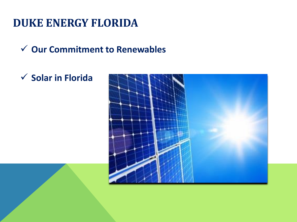# **DUKE ENERGY FLORIDA**

**Our Commitment to Renewables**

## **Solar in Florida**

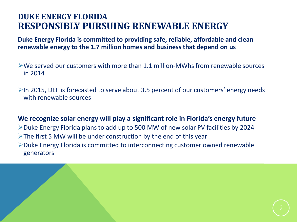### **DUKE ENERGY FLORIDA RESPONSIBLY PURSUING RENEWABLE ENERGY**

**Duke Energy Florida is committed to providing safe, reliable, affordable and clean renewable energy to the 1.7 million homes and business that depend on us**

- We served our customers with more than 1.1 million-MWhs from renewable sources in 2014
- $\triangleright$  In 2015, DEF is forecasted to serve about 3.5 percent of our customers' energy needs with renewable sources

**We recognize solar energy will play a significant role in Florida's energy future**  Duke Energy Florida plans to add up to 500 MW of new solar PV facilities by 2024  $\triangleright$  The first 5 MW will be under construction by the end of this year Duke Energy Florida is committed to interconnecting customer owned renewable generators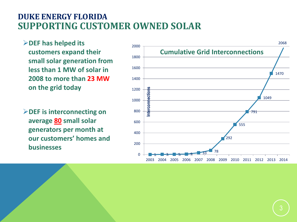### **DUKE ENERGY FLORIDA SUPPORTING CUSTOMER OWNED SOLAR**

- **DEF has helped its customers expand their small solar generation from less than 1 MW of solar in 2008 to more than 23 MW on the grid today**
- **DEF is interconnecting on average 80 small solar generators per month at our customers' homes and businesses**

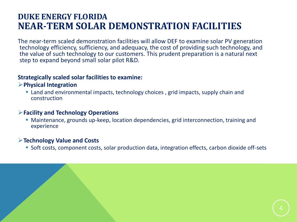### **DUKE ENERGY FLORIDA NEAR-TERM SOLAR DEMONSTRATION FACILITIES**

The near-term scaled demonstration facilities will allow DEF to examine solar PV generation technology efficiency, sufficiency, and adequacy, the cost of providing such technology, and the value of such technology to our customers. This prudent preparation is a natural next step to expand beyond small solar pilot R&D.

#### **Strategically scaled solar facilities to examine:**

#### **Physical Integration**

 Land and environmental impacts, technology choices , grid impacts, supply chain and construction

#### **Facility and Technology Operations**

 Maintenance, grounds up-keep, location dependencies, grid interconnection, training and experience

#### **Technology Value and Costs**

Soft costs, component costs, solar production data, integration effects, carbon dioxide off-sets

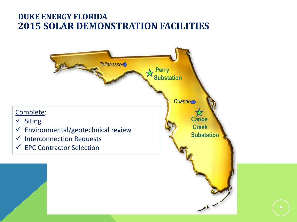### **DUKE ENERGY FLORIDA 2015 SOLAR DEMONSTRATION FACILITIES**

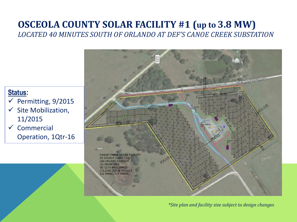### **OSCEOLA COUNTY SOLAR FACILITY #1 (up to 3.8 MW)** *LOCATED 40 MINUTES SOUTH OF ORLANDO AT DEF'S CANOE CREEK SUBSTATION*

### **Status:**

- $\checkmark$  Permitting, 9/2015
- $\checkmark$  Site Mobilization, 11/2015
- $\checkmark$  Commercial Operation, 1Qtr-16



*\*Site plan and facility size subject to design changes*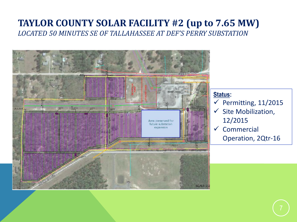### **TAYLOR COUNTY SOLAR FACILITY #2 (up to 7.65 MW)** *LOCATED 50 MINUTES SE OF TALLAHASSEE AT DEF'S PERRY SUBSTATION*



#### **Status:**

- $\checkmark$  Permitting, 11/2015
- $\checkmark$  Site Mobilization, 12/2015
- $\checkmark$  Commercial Operation, 2Qtr-16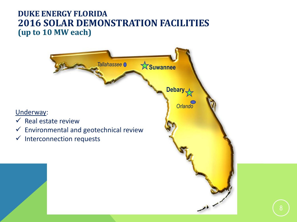### **DUKE ENERGY FLORIDA 2016 SOLAR DEMONSTRATION FACILITIES (up to 10 MW each)**

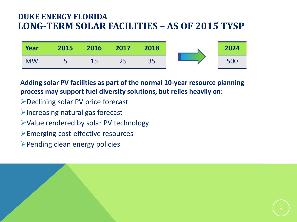### **DUKE ENERGY FLORIDA LONG-TERM SOLAR FACILITIES – AS OF 2015 TYSP**



**Adding solar PV facilities as part of the normal 10-year resource planning process may support fuel diversity solutions, but relies heavily on:**

- Declining solar PV price forecast
- $\triangleright$  Increasing natural gas forecast
- Value rendered by solar PV technology
- Emerging cost-effective resources
- Pending clean energy policies